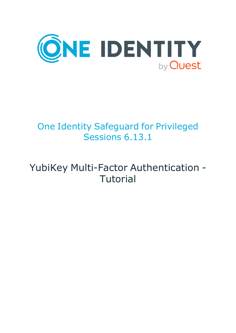

# One Identity Safeguard for Privileged Sessions 6.13.1

# YubiKey Multi-Factor Authentication - **Tutorial**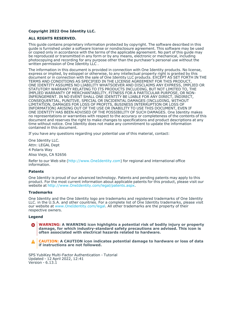#### **Copyright 2022 One Identity LLC.**

#### **ALL RIGHTS RESERVED.**

This guide contains proprietary information protected by copyright. The software described in this guide is furnished under a software license or nondisclosure agreement. This software may be used or copied only in accordance with the terms of the applicable agreement. No part of this guide may be reproduced or transmitted in any form or by any means, electronic or mechanical, including photocopying and recording for any purpose other than the purchaser's personal use without the written permission of One Identity LLC .

The information in this document is provided in connection with One Identity products. No license, express or implied, by estoppel or otherwise, to any intellectual property right is granted by this document or in connection with the sale of One Identity LLC products. EXCEPT AS SET FORTH IN THE TERMS AND CONDITIONS AS SPECIFIED IN THE LICENSE AGREEMENT FOR THIS PRODUCT, ONE IDENTITY ASSUMES NO LIABILITY WHATSOEVER AND DISCLAIMS ANY EXPRESS, IMPLIED OR STATUTORY WARRANTY RELATING TO ITS PRODUCTS INCLUDING, BUT NOT LIMITED TO, THE IMPLIED WARRANTY OF MERCHANTABILITY, FITNESS FOR A PARTICULAR PURPOSE, OR NON-INFRINGEMENT. IN NO EVENT SHALL ONE IDENTITY BE LIABLE FOR ANY DIRECT, INDIRECT, CONSEQUENTIAL, PUNITIVE, SPECIAL OR INCIDENTAL DAMAGES (INCLUDING, WITHOUT LIMITATION, DAMAGES FOR LOSS OF PROFITS, BUSINESS INTERRUPTION OR LOSS OF INFORMATION) ARISING OUT OF THE USE OR INABILITY TO USE THIS DOCUMENT, EVEN IF ONE IDENTITY HAS BEEN ADVISED OF THE POSSIBILITY OF SUCH DAMAGES. One Identity makes no representations or warranties with respect to the accuracy or completeness of the contents of this document and reserves the right to make changes to specifications and product descriptions at any time without notice. One Identity does not make any commitment to update the information contained in this document.

If you have any questions regarding your potential use of this material, contact:

One Identity LLC. Attn: LEGAL Dept 4 Polaris Way Aliso Viejo, CA 92656

Refer to our Web site [\(http://www.OneIdentity.com](http://www.oneidentity.com/)) for regional and international office information.

#### **Patents**

One Identity is proud of our advanced technology. Patents and pending patents may apply to this product. For the most current information about applicable patents for this product, please visit our website at [http://www.OneIdentity.com/legal/patents.aspx.](http://www.oneidentity.com/legal/patents.aspx)

#### **Trademarks**

One Identity and the One Identity logo are trademarks and registered trademarks of One Identity LLC. in the U.S.A. and other countries. For a complete list of One Identity trademarks, please visit our website at [www.OneIdentity.com/legal](http://www.oneidentity.com/legal). All other trademarks are the property of their respective owners.

#### **Legend**

**WARNING: A WARNING icon highlights a potential risk of bodily injury or property** œ **damage, for which industry-standard safety precautions are advised. This icon is often associated with electrical hazards related to hardware.**

**CAUTION: A CAUTION icon indicates potential damage to hardware or loss of data if instructions are not followed.**

SPS YubiKey Multi-Factor Authentication - Tutorial Updated - 12 April 2022, 12:41 Version - 6.13.1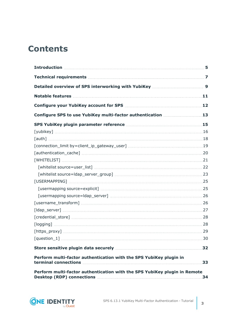# **Contents**

| Configure SPS to use YubiKey multi-factor authentication 13                                                    |    |
|----------------------------------------------------------------------------------------------------------------|----|
|                                                                                                                |    |
|                                                                                                                |    |
|                                                                                                                |    |
|                                                                                                                |    |
|                                                                                                                |    |
|                                                                                                                |    |
|                                                                                                                |    |
|                                                                                                                |    |
|                                                                                                                |    |
|                                                                                                                |    |
|                                                                                                                |    |
|                                                                                                                |    |
|                                                                                                                |    |
|                                                                                                                |    |
| $[logging] \hspace{1cm} \rule{2cm}{0.1cm} 28$                                                                  |    |
| $[https\_proxy] \dots 29$                                                                                      |    |
|                                                                                                                |    |
| Store sensitive plugin data securely manufactured and store sensitive plugin data securely manufactured and 32 |    |
| Perform multi-factor authentication with the SPS YubiKey plugin in                                             | 33 |
| Perform multi-factor authentication with the SPS YubiKey plugin in Remote                                      | 34 |

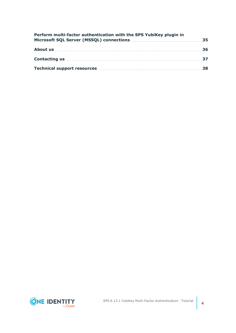| Perform multi-factor authentication with the SPS YubiKey plugin in |  |
|--------------------------------------------------------------------|--|
|                                                                    |  |
|                                                                    |  |
| Technical support resources manufactured and 38                    |  |

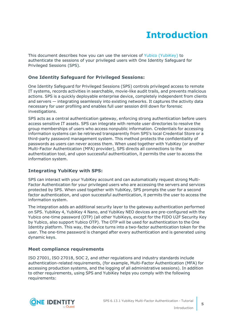# **Introduction**

<span id="page-4-0"></span>This document describes how you can use the services of Yubico [\(YubiKey\)](https://www.yubico.com/) to authenticate the sessions of your privileged users with One Identity Safeguard for Privileged Sessions (SPS).

### **One Identity Safeguard for Privileged Sessions:**

One Identity Safeguard for Privileged Sessions (SPS) controls privileged access to remote IT systems, records activities in searchable, movie-like audit trails, and prevents malicious actions. SPS is a quickly deployable enterprise device, completely independent from clients and servers — integrating seamlessly into existing networks. It captures the activity data necessary for user profiling and enables full user session drill down for forensic investigations.

SPS acts as a central authentication gateway, enforcing strong authentication before users access sensitive IT assets. SPS can integrate with remote user directories to resolve the group memberships of users who access nonpublic information. Credentials for accessing information systems can be retrieved transparently from SPS's local Credential Store or a third-party password management system. This method protects the confidentiality of passwords as users can never access them. When used together with YubiKey (or another Multi-Factor Authentication (MFA) provider), SPS directs all connections to the authentication tool, and upon successful authentication, it permits the user to access the information system.

## **Integrating YubiKey with SPS:**

SPS can interact with your YubiKey account and can automatically request strong Multi-Factor Authentication for your privileged users who are accessing the servers and services protected by SPS. When used together with YubiKey, SPS prompts the user for a second factor authentication, and upon successful authentication, it permits the user to access the information system.

The integration adds an additional security layer to the gateway authentication performed on SPS. YubiKey 4, YubiKey 4 Nano, and YubiKey NEO devices are pre-configured with the Yubico one-time password (OTP) (all other YubiKeys, except for the FIDO U2F Security Key by Yubico, also support Yubico OTP). The OTP will be used for authentication to the One Identity platform. This way, the device turns into a two-factor authentication token for the user. The one-time password is changed after every authentication and is generated using dynamic keys.

### **Meet compliance requirements**

ISO 27001, ISO 27018, SOC 2, and other regulations and industry standards include authentication-related requirements, (for example, Multi-Factor Authentication (MFA) for accessing production systems, and the logging of all administrative sessions). In addition to other requirements, using SPS and YubiKey helps you comply with the following requirements:

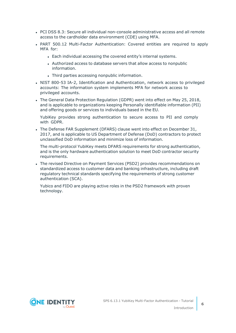- PCI DSS 8.3: Secure all individual non-console administrative access and all remote access to the cardholder data environment (CDE) using MFA.
- PART 500.12 Multi-Factor Authentication: Covered entities are required to apply MFA for:
	- Each individual accessing the covered entity's internal systems.
	- Authorized access to database servers that allow access to nonpublic information.
	- Third parties accessing nonpublic information.
- NIST 800-53 IA-2, Identification and Authentication, network access to privileged accounts: The information system implements MFA for network access to privileged accounts.
- The General Data Protection Regulation (GDPR) went into effect on May 25, 2018, and is applicable to organizations keeping Personally identifiable information (PII) and offering goods or services to individuals based in the EU.

YubiKey provides strong authentication to secure access to PII and comply with GDPR.

• The Defense FAR Supplement (DFARS) clause went into effect on December 31, 2017, and is applicable to US Department of Defense (DoD) contractors to protect unclassified DoD information and minimize loss of information.

The multi-protocol YubiKey meets DFARS requirements for strong authentication, and is the only hardware authentication solution to meet DoD contractor security requirements.

• The revised Directive on Payment Services (PSD2) provides recommendations on standardized access to customer data and banking infrastructure, including draft regulatory technical standards specifying the requirements of strong customer authentication (SCA).

Yubico and FIDO are playing active roles in the PSD2 framework with proven technology.

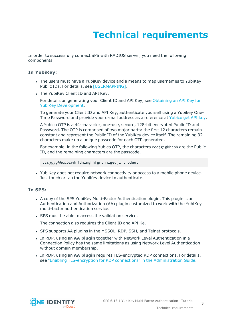# **Technical requirements**

<span id="page-6-0"></span>In order to successfully connect SPS with RADIUS server, you need the following components.

### **In YubiKey:**

- The users must have a YubiKey device and a means to map usernames to YubiKey Public IDs. For details, see [\[USERMAPPING\].](#page-24-0)
- The YubiKey Client ID and API Key.

For details on generating your Client ID and API Key, see [Obtaining](https://support.yubico.com/hc/en-us/articles/360013717560-Obtaining-an-API-Key-for-YubiKey-Development) an API Key for YubiKey [Development.](https://support.yubico.com/hc/en-us/articles/360013717560-Obtaining-an-API-Key-for-YubiKey-Development)

To generate your Client ID and API Key, authenticate yourself using a Yubikey One-Time Password and provide your e-mail address as a reference at [Yubico](https://upgrade.yubico.com/getapikey/) get API key.

A Yubico OTP is a 44-character, one-use, secure, 128-bit encrypted Public ID and Password. The OTP is comprised of two major parts: the first 12 characters remain constant and represent the Public ID of the YubiKey device itself. The remaining 32 characters make up a unique passcode for each OTP generated.

For example, in the following Yubico OTP, the characters cccjgjgkhcbb are the Public ID, and the remaining characters are the passcode.

*cccjgjgkhcbb*irdrfdnlnghhfgrtnnlgedjlftrbdeut

• YubiKey does not require network connectivity or access to a mobile phone device. Just touch or tap the YubiKey device to authenticate.

### **In SPS:**

- A copy of the SPS YubiKey Multi-Factor Authentication plugin. This plugin is an Authentication and Authorization (AA) plugin customized to work with the YubiKey multi-factor authentication service.
- SPS must be able to access the validation service.

The connection also requires the Client ID and API Ke.

- SPS supports AA plugins in the MSSQL, RDP, SSH, and Telnet protocols.
- **In RDP, using an AA plugin together with Network Level Authentication in a** Connection Policy has the same limitations as using Network Level Authentication without domain membership.
- <sup>l</sup> In RDP, using an **AA plugin** requires TLS-encrypted RDP connections. For details, see "Enabling [TLS-encryption](https://support.oneidentity.com/technical-documents/safeguard-for-privileged-sessions/6.13.1/administration-guide/rdp-specific-settings/enabling-tls-encryption-for-rdp-connections/) for RDP connections" in the Administration Guide.

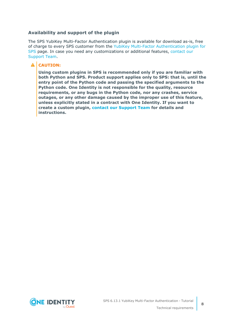### **Availability and support of the plugin**

The SPS YubiKey Multi-Factor Authentication plugin is available for download as-is, free of charge to every SPS customer from the YubiKey Multi-Factor [Authentication](https://github.com/OneIdentity/safeguard-sessions-plugin-yubikey-mfa/releases) plugin for [SPS](https://github.com/OneIdentity/safeguard-sessions-plugin-yubikey-mfa/releases) page. In case you need any customizations or additional features, [contact](https://support.oneidentity.com/one-identity-safeguard-for-privileged-sessions) our [Support](https://support.oneidentity.com/one-identity-safeguard-for-privileged-sessions) Team.

### **A** CAUTION:

**Using custom plugins in SPS is recommended only if you are familiar with both Python and SPS. Product support applies only to SPS: that is, until the entry point of the Python code and passing the specified arguments to the Python code. One Identity is not responsible for the quality, resource requirements, or any bugs in the Python code, nor any crashes, service outages, or any other damage caused by the improper use of this feature, unless explicitly stated in a contract with One Identity. If you want to create a custom plugin, contact our [Support](https://support.oneidentity.com/one-identity-safeguard-for-privileged-sessions) Team for details and instructions.**



**8**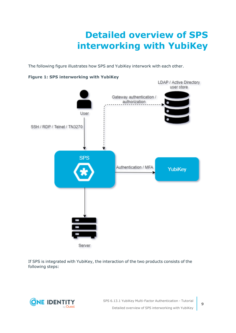# **Detailed overview of SPS interworking with YubiKey**

<span id="page-8-0"></span>The following figure illustrates how SPS and YubiKey interwork with each other.



#### **Figure 1: SPS interworking with YubiKey**

If SPS is integrated with YubiKey, the interaction of the two products consists of the following steps:



SPS 6.13.1 YubiKey Multi-Factor Authentication - Tutorial Detailed overview of SPS interworking with YubiKey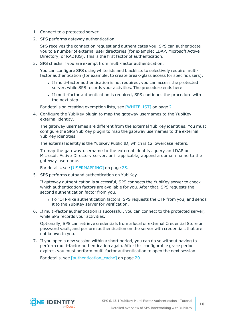- 1. Connect to a protected server.
- 2. SPS performs gateway authentication.

SPS receives the connection request and authenticates you. SPS can authenticate you to a number of external user directories (for example: LDAP, Microsoft Active Directory, or RADIUS). This is the first factor of authentication.

3. SPS checks if you are exempt from multi-factor authentication.

You can configure SPS using whitelists and blacklists to selectively require multifactor authentication (for example, to create break-glass access for specific users).

- If multi-factor authentication is not required, you can access the protected server, while SPS records your activities. The procedure ends here.
- If multi-factor authentication is required, SPS continues the procedure with the next step.

For details on creating exemption lists, see [\[WHITELIST\]](#page-20-0) on page 21.

4. Configure the YubiKey plugin to map the gateway usernames to the YubiKey external identity.

The gateway usernames are different from the external YubiKey identities. You must configure the SPS YubiKey plugin to map the gateway usernames to the external YubiKey identities.

The external identity is the YubiKey Public ID, which is 12 lowercase letters.

To map the gateway username to the external identity, query an LDAP or Microsoft Active Directory server, or if applicable, append a domain name to the gateway username.

For details, see [\[USERMAPPING\]](#page-24-0) on page 25.

5. SPS performs outband authentication on YubiKey.

If gateway authentication is successful, SPS connects the YubiKey server to check which authentication factors are available for you. After that, SPS requests the second authentication factor from you.

- For OTP-like authentication factors, SPS requests the OTP from you, and sends it to the YubiKey server for verification.
- 6. If multi-factor authentication is successful, you can connect to the protected server, while SPS records your activities.

Optionally, SPS can retrieve credentials from a local or external Credential Store or password vault, and perform authentication on the server with credentials that are not known to you.

7. If you open a new session within a short period, you can do so without having to perform multi-factor authentication again. After this configurable grace period expires, you must perform multi-factor authentication to open the next session.

For details, see [authentication cache] on page 20.

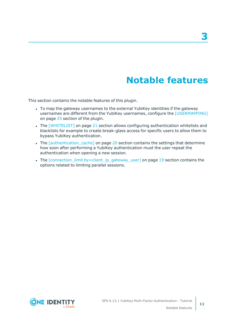# **Notable features**

<span id="page-10-0"></span>This section contains the notable features of this plugin.

- To map the gateway usernames to the external YubiKey identities if the gateway usernames are different from the YubiKey usernames, configure the [\[USERMAPPING\]](#page-24-0) on [page](#page-24-0) 25 section of the plugin.
- The [\[WHITELIST\]](#page-20-0) on page 21 section allows configuring authentication whitelists and blacklists for example to create break-glass access for specific users to allow them to bypass YubiKey authentication.
- The *[authentication cache]* on page 20 section contains the settings that determine how soon after performing a YubiKey authentication must the user repeat the authentication when opening a new session.
- The [connection\_limit [by=client\\_ip\\_gateway\\_user\]](#page-18-0) on page 19 section contains the options related to limiting parallel sessions.





**11**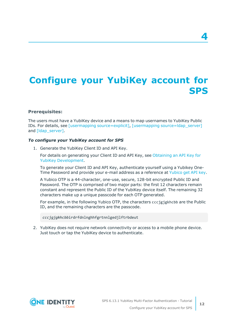# <span id="page-11-0"></span>**Configure your YubiKey account for SPS**

#### **Prerequisites:**

The users must have a YubiKey device and a means to map usernames to YubiKey Public IDs. For details, see [usermapping [source=explicit\]](#page-24-1), [usermapping [source=ldap\\_server\]](#page-25-0) and [Idap server].

#### *To configure your YubiKey account for SPS*

1. Generate the YubiKey Client ID and API Key.

For details on generating your Client ID and API Key, see [Obtaining](https://support.yubico.com/hc/en-us/articles/360013717560-Obtaining-an-API-Key-for-YubiKey-Development) an API Key for YubiKey [Development.](https://support.yubico.com/hc/en-us/articles/360013717560-Obtaining-an-API-Key-for-YubiKey-Development)

To generate your Client ID and API Key, authenticate yourself using a Yubikey One-Time Password and provide your e-mail address as a reference at [Yubico](https://upgrade.yubico.com/getapikey/) get API key.

A Yubico OTP is a 44-character, one-use, secure, 128-bit encrypted Public ID and Password. The OTP is comprised of two major parts: the first 12 characters remain constant and represent the Public ID of the YubiKey device itself. The remaining 32 characters make up a unique passcode for each OTP generated.

For example, in the following Yubico OTP, the characters cccjgjgkhcbb are the Public ID, and the remaining characters are the passcode.

*cccjgjgkhcbb*irdrfdnlnghhfgrtnnlgedjlftrbdeut

2. YubiKey does not require network connectivity or access to a mobile phone device. Just touch or tap the YubiKey device to authenticate.



**4**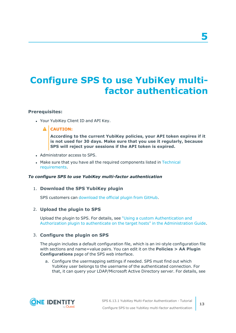# <span id="page-12-0"></span>**Configure SPS to use YubiKey multifactor authentication**

### **Prerequisites:**

• Your YubiKey Client ID and API Key.

### **A** CAUTION:

**According to the current YubiKey policies, your API token expires if it is not used for 30 days. Make sure that you use it regularly, because SPS will reject your sessions if the API token is expired.**

- Administrator access to SPS.
- Make sure that you have all the required components listed in [Technical](#page-6-0) [requirements](#page-6-0).

#### *To configure SPS to use YubiKey multi-factor authentication*

#### 1. **Download the SPS YubiKey plugin**

SPS customers can [download](https://github.com/OneIdentity/safeguard-sessions-plugin-yubikey-mfa/releases) the official plugin from GitHub.

### 2. **Upload the plugin to SPS**

Upload the plugin to SPS. For details, see "Using a custom [Authentication](https://support.oneidentity.com/technical-documents/safeguard-for-privileged-sessions/6.13.1/administration-guide/advanced-authentication-and-authorization-techniques/integrating-external-authentication-and-authorization-systems/using-a-custom-authentication-and-authorization-plugin-to-authenticate-on-the-target-hosts/) and Authorization plugin to authenticate on the target hosts" in the [Administration](https://support.oneidentity.com/technical-documents/safeguard-for-privileged-sessions/6.13.1/administration-guide/advanced-authentication-and-authorization-techniques/integrating-external-authentication-and-authorization-systems/using-a-custom-authentication-and-authorization-plugin-to-authenticate-on-the-target-hosts/) Guide.

#### 3. **Configure the plugin on SPS**

The plugin includes a default configuration file, which is an ini-style configuration file with sections and name=value pairs. You can edit it on the **Policies > AA Plugin Configurations** page of the SPS web interface.

a. Configure the usermapping settings if needed. SPS must find out which YubiKey user belongs to the username of the authenticated connection. For that, it can query your LDAP/Microsoft Active Directory server. For details, see

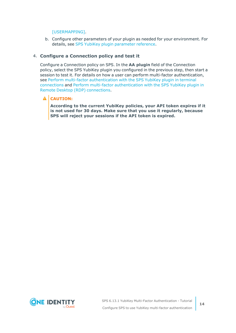#### [\[USERMAPPING\].](#page-24-0)

b. Configure other parameters of your plugin as needed for your environment. For details, see SPS YubiKey plugin [parameter](#page-14-0) reference.

### 4. **Configure a Connection policy and test it**

Configure a Connection policy on SPS. In the **AA plugin** field of the Connection policy, select the SPS YubiKey plugin you configured in the previous step, then start a session to test it. For details on how a user can perform multi-factor authentication, see Perform multi-factor [authentication](#page-32-0) with the SPS YubiKey plugin in terminal [connections](#page-32-0) and Perform multi-factor [authentication](#page-33-0) with the SPS YubiKey plugin in Remote Desktop (RDP) [connections](#page-33-0).

### **A** CAUTION:

**According to the current YubiKey policies, your API token expires if it is not used for 30 days. Make sure that you use it regularly, because SPS will reject your sessions if the API token is expired.**

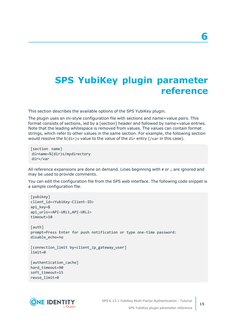# <span id="page-14-0"></span>**SPS YubiKey plugin parameter reference**

This section describes the available options of the SPS YubiKey plugin.

The plugin uses an ini-style configuration file with sections and name=value pairs. This format consists of sections, led by a [section] header and followed by name=value entries. Note that the leading whitespace is removed from values. The values can contain format strings, which refer to other values in the same section. For example, the following section would resolve the %(dir)s value to the value of the dir entry (/var in this case).

[section name] dirname=%(dir)s/mydirectory dir=/var

All reference expansions are done on demand. Lines beginning with # or ; are ignored and may be used to provide comments.

You can edit the configuration file from the SPS web interface. The following code snippet is a sample configuration file.

```
[yubikey]
client_id=<YubiKey-Client-ID>
api_key=$
api_urls=<API-URL1,API-URL2>
timeout=10
[auth]
prompt=Press Enter for push notification or type one-time password:
disable_echo=no
[connection_limit by=client_ip_gateway_user]
limit=0
[authentication_cache]
hard_timeout=90
```
soft\_timeout=15 reuse\_limit=0

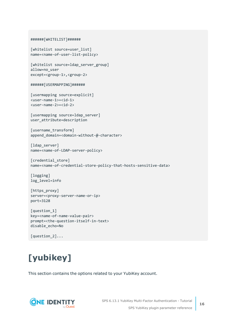```
######[WHITELIST]######
[whitelist source=user_list]
name=<name-of-user-list-policy>
[whitelist source=ldap_server_group]
allow=no_user
except=<group-1>,<group-2>
######[USERMAPPING]######
[usermapping source=explicit]
<user-name-1>=<id-1>
<user-name-2>=<id-2>
[usermapping source=ldap server]
user attribute=description
```

```
[username_transform]
append domain=<domain-without-@-character>
```

```
[ldap server]
name=<name-of-LDAP-server-policy>
```

```
[credential_store]
name=<name-of-credential-store-policy-that-hosts-sensitive-data>
```

```
[logging]
log_level=info
```

```
[https_proxy]
server=<proxy-server-name-or-ip>
port=3128
```

```
[question_1]
key=<name-of-name-value-pair>
prompt=<the-question-itself-in-text>
disable_echo=No
```

```
[question_2]...
```
# <span id="page-15-0"></span>**[yubikey]**

This section contains the options related to your YubiKey account.

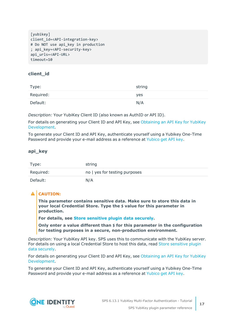```
[vubikey]
client_id=<API-integration-key>
# Do NOT use api key in production
; api_key=<API-security-key>
api_urls=<API-URL>
timeout=10
```
## **client\_id**

| Type:     | string |
|-----------|--------|
| Required: | yes    |
| Default:  | N/A    |

*Description:* Your YubiKey Client ID (also known as AuthID or API ID).

For details on generating your Client ID and API Key, see [Obtaining](https://support.yubico.com/hc/en-us/articles/360013717560-Obtaining-an-API-Key-for-YubiKey-Development) an API Key for YubiKey [Development.](https://support.yubico.com/hc/en-us/articles/360013717560-Obtaining-an-API-Key-for-YubiKey-Development)

To generate your Client ID and API Key, authenticate yourself using a Yubikey One-Time Password and provide your e-mail address as a reference at [Yubico](https://upgrade.yubico.com/getapikey/) get API key.

### **api\_key**

| Type:     | string                        |
|-----------|-------------------------------|
| Required: | no   yes for testing purposes |
| Default:  | N/A                           |

## **A** CAUTION:

**This parameter contains sensitive data. Make sure to store this data in your local Credential Store. Type the \$ value for this parameter in production.**

**For details, see Store [sensitive](#page-31-0) plugin data securely.**

**Only enter a value different than \$ for this parameter in the configuration for testing purposes in a secure, non-production environment.**

*Description:* Your YubiKey API key. SPS uses this to communicate with the YubiKey server. For details on using a local Credential Store to host this data, read Store [sensitive](#page-31-0) plugin data [securely.](#page-31-0)

For details on generating your Client ID and API Key, see [Obtaining](https://support.yubico.com/hc/en-us/articles/360013717560-Obtaining-an-API-Key-for-YubiKey-Development) an API Key for YubiKey [Development.](https://support.yubico.com/hc/en-us/articles/360013717560-Obtaining-an-API-Key-for-YubiKey-Development)

To generate your Client ID and API Key, authenticate yourself using a Yubikey One-Time Password and provide your e-mail address as a reference at [Yubico](https://upgrade.yubico.com/getapikey/) get API key.

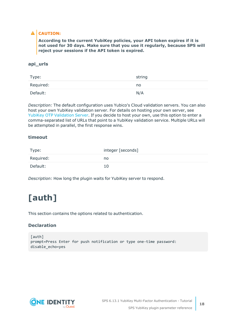## **A** CAUTION:

**According to the current YubiKey policies, your API token expires if it is not used for 30 days. Make sure that you use it regularly, because SPS will reject your sessions if the API token is expired.**

### **api\_urls**

| Type:     | string |
|-----------|--------|
| Required: | no     |
| Default:  | N/A    |

*Description:* The default configuration uses Yubico's Cloud validation servers. You can also host your own YubiKey validation server. For details on hosting your own server, see YubiKey OTP [Validation](https://developers.yubico.com/yubikey-val/) Server. If you decide to host your own, use this option to enter a comma-separated list of URLs that point to a YubiKey validation service. Multiple URLs will be attempted in parallel, the first response wins.

### **timeout**

| Type:     | integer [seconds] |
|-----------|-------------------|
| Required: | no                |
| Default:  | 10                |

<span id="page-17-0"></span>*Description:* How long the plugin waits for YubiKey server to respond.

# **[auth]**

This section contains the options related to authentication.

### **Declaration**

```
[auth]
prompt=Press Enter for push notification or type one-time password:
disable_echo=yes
```
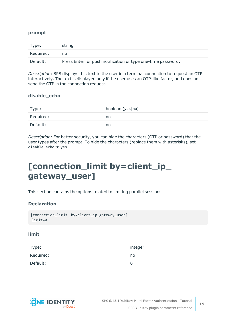### **prompt**

| Type:     | string                                                       |
|-----------|--------------------------------------------------------------|
| Required: | no                                                           |
| Default:  | Press Enter for push notification or type one-time password: |

*Description:* SPS displays this text to the user in a terminal connection to request an OTP interactively. The text is displayed only if the user uses an OTP-like factor, and does not send the OTP in the connection request.

#### **disable\_echo**

| Type:     | boolean (yes no) |
|-----------|------------------|
| Required: | no               |
| Default:  | no               |

*Description:* For better security, you can hide the characters (OTP or password) that the user types after the prompt. To hide the characters (replace them with asterisks), set disable\_echo to yes.

# <span id="page-18-0"></span>**[connection\_limit by=client\_ip\_ gateway\_user]**

This section contains the options related to limiting parallel sessions.

### **Declaration**

```
[connection_limit by=client_ip_gateway_user]
limit=0
```
#### **limit**

| Type:     | integer |
|-----------|---------|
| Required: | no      |
| Default:  |         |

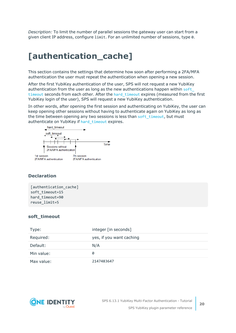*Description:* To limit the number of parallel sessions the gateway user can start from a given client IP address, configure limit. For an unlimited number of sessions, type 0.

# <span id="page-19-0"></span>**[authentication\_cache]**

This section contains the settings that determine how soon after performing a 2FA/MFA authentication the user must repeat the authentication when opening a new session.

After the first YubiKey authentication of the user, SPS will not request a new YubiKey authentication from the user as long as the new authentications happen within soft [timeout](#page-19-1) seconds from each other. After the hard timeout expires (measured from the first YubiKey login of the user), SPS will request a new YubiKey authentication.

In other words, after opening the first session and authenticating on YubiKey, the user can keep opening other sessions without having to authenticate again on YubiKey as long as the time between opening any two sessions is less than soft timeout, but must authenticate on YubiKey if [hard\\_timeout](#page-20-1) expires.



### **Declaration**

[authentication\_cache] soft\_timeout=15 hard timeout=90 reuse\_limit=5

#### <span id="page-19-1"></span>**soft\_timeout**

| Type:      | integer [in seconds]     |
|------------|--------------------------|
| Required:  | yes, if you want caching |
| Default:   | N/A                      |
| Min value: | 0                        |
| Max value: | 2147483647               |

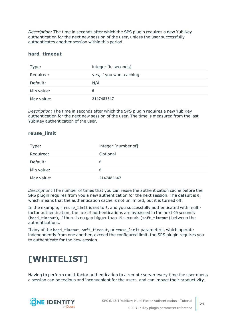*Description:* The time in seconds after which the SPS plugin requires a new YubiKey authentication for the next new session of the user, unless the user successfully authenticates another session within this period.

#### <span id="page-20-1"></span>**hard\_timeout**

| Type:      | integer [in seconds]     |
|------------|--------------------------|
| Required:  | yes, if you want caching |
| Default:   | N/A                      |
| Min value: | 0                        |
| Max value: | 2147483647               |

*Description:* The time in seconds after which the SPS plugin requires a new YubiKey authentication for the next new session of the user. The time is measured from the last YubiKey authentication of the user.

#### **reuse\_limit**

| Type:      | integer [number of] |
|------------|---------------------|
| Required:  | Optional            |
| Default:   | 0                   |
| Min value: | 0                   |
| Max value: | 2147483647          |

*Description:* The number of times that you can reuse the authentication cache before the SPS plugin requires from you a new authentication for the next session. The default is 0, which means that the authentication cache is not unlimited, but it is turned off.

In the example, if reuse limit is set to 5, and you successfully authenticated with multifactor authentication, the next 5 authentications are bypassed in the next 90 seconds (hard timeout), if there is no gap bigger than 15 seconds (soft timeout) between the authentications.

If any of the hard\_timeout, soft\_timeout, or reuse\_limit parameters, which operate independently from one another, exceed the configured limit, the SPS plugin requires you to authenticate for the new session.

# <span id="page-20-0"></span>**[WHITELIST]**

Having to perform multi-factor authentication to a remote server every time the user opens a session can be tedious and inconvenient for the users, and can impact their productivity.

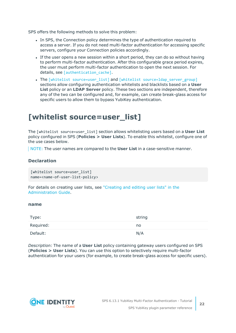SPS offers the following methods to solve this problem:

- In SPS, the Connection policy determines the type of authentication required to access a server. If you do not need multi-factor authentication for accessing specific servers, configure your Connection policies accordingly.
- If the user opens a new session within a short period, they can do so without having to perform multi-factor authentication. After this configurable grace period expires, the user must perform multi-factor authentication to open the next session. For details, see [authentication cache].
- The [whitelist [source=user\\_list\]](../../../../../Content/Guides/integrations/shared/plugin-section-whitelist-ul.htm) and [whitelist [source=ldap\\_server\\_group\]](../../../../../Content/Guides/integrations/shared/plugin-section-whitelist-lsg.htm) sections allow configuring authentication whitelists and blacklists based on a **User List** policy or an **LDAP Server** policy. These two sections are independent, therefore any of the two can be configured and, for example, can create break-glass access for specific users to allow them to bypass YubiKey authentication.

# <span id="page-21-0"></span>**[whitelist source=user\_list]**

The [whitelist source=user\_list] section allows whitelisting users based on a **User List** policy configured in SPS (**Policies > User Lists**). To enable this whitelist, configure one of the use cases below.

NOTE: The user names are compared to the **User List** in a case-sensitive manner.

#### **Declaration**

```
[whitelist source=user list]
name=<name-of-user-list-policy>
```
For details on creating user lists, see ["Creating](https://support.oneidentity.com/technical-documents/safeguard-for-privileged-sessions/6.13.1/administration-guide/general-connection-settings/creating-and-editing-user-lists/) and editing user lists" in the [Administration](https://support.oneidentity.com/technical-documents/safeguard-for-privileged-sessions/6.13.1/administration-guide/general-connection-settings/creating-and-editing-user-lists/) Guide.

#### <span id="page-21-1"></span>**name**

| Type:     | string |
|-----------|--------|
| Required: | no     |
| Default:  | N/A    |

*Description:* The name of a **User List** policy containing gateway users configured on SPS (**Policies > User Lists**). You can use this option to selectively require multi-factor authentication for your users (for example, to create break-glass access for specific users).

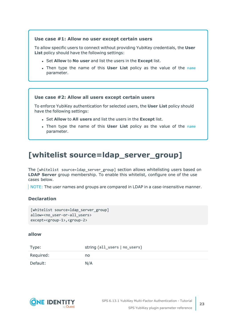#### **Use case #1: Allow no user except certain users**

To allow specific users to connect without providing YubiKey credentials, the **User List** policy should have the following settings:

- <sup>l</sup> Set **Allow** to **No user** and list the users in the **Except** list.
- <sup>l</sup> Then type the name of this **User List** policy as the value of the [name](#page-21-1) parameter.

#### **Use case #2: Allow all users except certain users**

To enforce YubiKey authentication for selected users, the **User List** policy should have the following settings:

- <sup>l</sup> Set **Allow** to **All users** and list the users in the **Except** list.
- <sup>l</sup> Then type the name of this **User List** policy as the value of the [name](#page-21-1) parameter.

# <span id="page-22-0"></span>**[whitelist source=ldap\_server\_group]**

The [whitelist source=ldap server group] section allows whitelisting users based on **LDAP Server** group membership. To enable this whitelist, configure one of the use cases below.

NOTE: The user names and groups are compared in LDAP in a case-insensitive manner.

### **Declaration**

```
[whitelist source=ldap_server_group]
allow=<no_user-or-all_users>
except=<group-1>,<group-2>
```
#### <span id="page-22-1"></span>**allow**

| Type:     | string (all_users   no_users) |
|-----------|-------------------------------|
| Required: | no                            |
| Default:  | N/A                           |

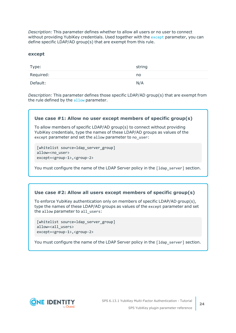*Description:* This parameter defines whether to allow all users or no user to connect without providing YubiKey credentials. Used together with the [except](#page-23-0) parameter, you can define specific LDAP/AD group(s) that are exempt from this rule.

#### <span id="page-23-0"></span>**except**

| Type:     | string |
|-----------|--------|
| Required: | no     |
| Default:  | N/A    |

*Description:* This parameter defines those specific LDAP/AD group(s) that are exempt from the rule defined by the [allow](#page-22-1) parameter.

#### **Use case #1: Allow no user except members of specific group(s)**

To allow members of specific LDAP/AD group(s) to connect without providing YubiKey credentials, type the names of these LDAP/AD groups as values of the except parameter and set the allow parameter to no user:

```
[whitelist source=ldap server group]
allow=<no_user>
except=<group-1>,<group-2>
```
You must configure the name of the LDAP Server policy in the [1dap\_server] section.

#### **Use case #2: Allow all users except members of specific group(s)**

To enforce YubiKey authentication only on members of specific LDAP/AD group(s), type the names of these LDAP/AD groups as values of the except parameter and set the allow parameter to all users:

```
[whitelist source=ldap_server_group]
allow=<all_users>
except=<group-1>,<group-2>
```
You must configure the name of the LDAP Server policy in the [1dap\_server] section.

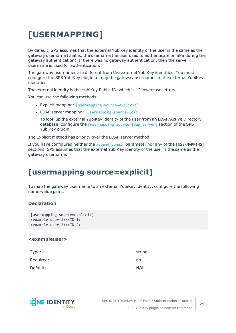# <span id="page-24-0"></span>**[USERMAPPING]**

By default, SPS assumes that the external YubiKey identity of the user is the same as the gateway username (that is, the username the user used to authenticate on SPS during the gateway authentication). If there was no gateway authentication, then the server username is used for authentication.

The gateway usernames are different from the external YubiKey identities. You must configure the SPS YubiKey plugin to map the gateway usernames to the external YubiKey identities.

The external identity is the YubiKey Public ID, which is 12 lowercase letters.

You can use the following methods:

- Explicit mapping: [usermapping [source=explicit\]](../../../../../Content/Guides/integrations/shared/plugin-section-usermapping-expl.htm)
- LDAP server mapping: [\[usermapping](../../../../../Content/Guides/integrations/shared/plugin-section-usermapping-ldap.htm) source=ldap]

To look up the external YubiKey identity of the user from an LDAP/Active Directory database, configure the [usermapping source=1dap server] section of the SPS YubiKey plugin.

The Explicit method has priority over the LDAP server method.

If you have configured neither the append domain parameter nor any of the [USERMAPPING] sections, SPS assumes that the external YubiKey identity of the user is the same as the gateway username.

# <span id="page-24-1"></span>**[usermapping source=explicit]**

To map the gateway user name to an external YubiKey identity, configure the following name-value pairs.

### **Declaration**

```
[usermapping source=explicit]
<example-user-1>=<ID-1>
<example-user-2>=<ID-2>
```
#### **<exampleuser>**

| Type:     | string |
|-----------|--------|
| Required: | no     |
| Default:  | N/A    |

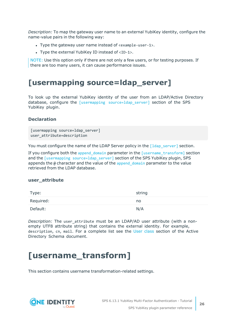*Description:* To map the gateway user name to an external YubiKey identity, configure the name-value pairs in the following way:

- Type the gateway user name instead of <example-user-1>.
- Type the external YubiKey ID instead of  $\langle$ ID-1>.

NOTE: Use this option only if there are not only a few users, or for testing purposes. If there are too many users, it can cause performance issues.

## <span id="page-25-0"></span>**[usermapping source=ldap\_server]**

To look up the external YubiKey identity of the user from an LDAP/Active Directory database, configure the  $[usermapping source=Idap server]$  server] section of the SPS YubiKey plugin.

### **Declaration**

```
[usermapping source=ldap server]
user attribute=description
```
You must configure the name of the LDAP Server policy in the  $\lceil 1 \text{day server} \rceil$  section.

If you configure both the append domain parameter in the  $\lceil$ username transform $\rceil$  section and the [usermapping source=1dap\_server] section of the SPS YubiKey plugin, SPS appends the  $\omega$  character and the value of the append domain parameter to the value retrieved from the LDAP database.

#### **user\_attribute**

| Type:     | string |
|-----------|--------|
| Required: | no     |
| Default:  | N/A    |

*Description:* The user attribute must be an LDAP/AD user attribute (with a nonempty UTF8 attribute string) that contains the external identity. For example, description, cn, mail. For a complete list see the User [class](https://docs.microsoft.com/en-gb/windows/desktop/ADSchema/c-user) section of the Active Directory Schema document.

# <span id="page-25-1"></span>**[username\_transform]**

This section contains username transformation-related settings.

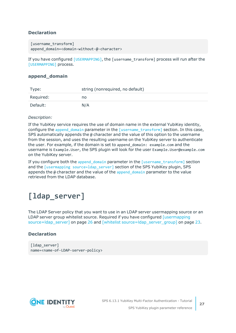### **Declaration**

```
[username transform]
append domain=<domain-without-@-character>
```
If you have configured [\[USERMAPPING\]](../../../../../Content/Guides/integrations/shared/plugin-section-usermapping.htm), the [username\_transform] process will run after the [\[USERMAPPING\]](../../../../../Content/Guides/integrations/shared/plugin-section-usermapping.htm) process.

#### **append\_domain**

| Type:     | string (nonrequired, no default) |
|-----------|----------------------------------|
| Required: | no                               |
| Default:  | N/A                              |

#### *Description:*

If the YubiKey service requires the use of domain name in the external YubiKey identity, configure the append domain parameter in the [\[username\\_transform\]](../../../../../Content/Guides/integrations/shared/plugin-section-username-transform.htm) section. In this case, SPS automatically appends the  $\omega$  character and the value of this option to the username from the session, and uses the resulting username on the YubiKey server to authenticate the user. For example, if the domain is set to append domain: example.com and the username is Example.User, the SPS plugin will look for the user Example.User@example.com on the YubiKey server.

If you configure both the [append\\_domain](#scb-plugin-section-username-transform-domain) parameter in the [\[username\\_transform\]](../../../../../Content/Guides/integrations/shared/plugin-section-username-transform.htm) section and the [usermapping [source=ldap\\_server\]](../../../../../Content/Guides/integrations/shared/plugin-section-usermapping-ldap.htm) section of the SPS YubiKey plugin, SPS appends the  $\omega$  character and the value of the append domain parameter to the value retrieved from the LDAP database.

# <span id="page-26-0"></span>**[ldap\_server]**

The LDAP Server policy that you want to use in an LDAP server usermapping source or an LDAP server group whitelist source. Required if you have configured  $[$ usermapping [source=ldap\\_server\]](#page-25-0) on page 26 and [whitelist [source=ldap\\_server\\_group\]](#page-22-0) on page 23.

### **Declaration**

```
[ldap server]
name=<name-of-LDAP-server-policy>
```
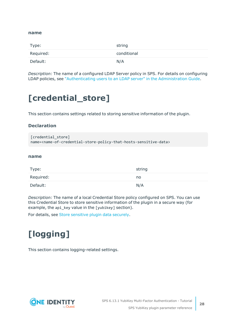#### **name**

| Type:     | string      |
|-----------|-------------|
| Required: | conditional |
| Default:  | N/A         |

*Description:* The name of a configured LDAP Server policy in SPS. For details on configuring LDAP policies, see ["Authenticating](https://support.oneidentity.com/technical-documents/safeguard-for-privileged-sessions/6.13.1/administration-guide/general-connection-settings/authenticating-users-to-an-ldap-server/) users to an LDAP server" in the Administration Guide.

# <span id="page-27-0"></span>**[credential\_store]**

This section contains settings related to storing sensitive information of the plugin.

#### **Declaration**

```
[credential store]
name=<name-of-credential-store-policy-that-hosts-sensitive-data>
```
#### **name**

| Type:     | string |
|-----------|--------|
| Required: | no     |
| Default:  | N/A    |

*Description:* The name of a local Credential Store policy configured on SPS. You can use this Credential Store to store sensitive information of the plugin in a secure way (for example, the api\_key value in the [yubikey] section).

<span id="page-27-1"></span>For details, see Store [sensitive](#page-31-0) plugin data securely.

# **[logging]**

This section contains logging-related settings.

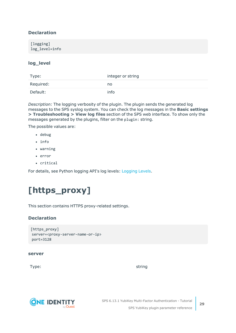### **Declaration**

### **log\_level**

| Type:     | integer or string |
|-----------|-------------------|
| Required: | no                |
| Default:  | info              |

*Description:* The logging verbosity of the plugin. The plugin sends the generated log messages to the SPS syslog system. You can check the log messages in the **Basic settings > Troubleshooting > View log files** section of the SPS web interface. To show only the messages generated by the plugins, filter on the plugin: string.

The possible values are:

- debug
- info
- warning
- $\cdot$  error
- critical

<span id="page-28-0"></span>For details, see Python logging API's log levels: [Logging](https://docs.python.org/2/library/logging.html#logging-levels) Levels.

# **[https\_proxy]**

This section contains HTTPS proxy-related settings.

### **Declaration**

```
[https_proxy]
server=<proxy-server-name-or-ip>
port=3128
```
#### **server**

Type: which is a string string string to the string string string in the string string  $\sim$ 

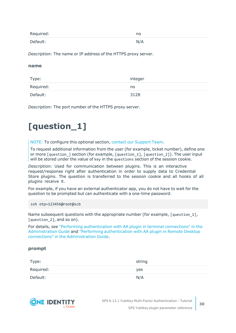| Required: | no  |
|-----------|-----|
| Default:  | N/A |

*Description:* The name or IP address of the HTTPS proxy server.

#### **name**

| Type:     | integer |
|-----------|---------|
| Required: | no.     |
| Default:  | 3128    |

<span id="page-29-0"></span>*Description:* The port number of the HTTPS proxy server.

# **[question\_1]**

NOTE: To configure this optional section, contact our [Support](https://support.oneidentity.com/one-identity-safeguard-for-privileged-sessions) Team.

To request additional information from the user (for example, ticket number), define one or more [question ] section (for example, [question 1], [question 2]). The user input will be stored under the value of key in the questions section of the session cookie.

*Description:* Used for communication between plugins. This is an interactive request/response right after authentication in order to supply data to Credential Store plugins. The question is transferred to the session cookie and all hooks of all plugins receive it.

For example, if you have an external authenticator app, you do not have to wait for the question to be prompted but can authenticate with a one-time password:

ssh otp=123456@root@scb

Name subsequent questions with the appropriate number (for example, [question 1], [question 2], and so on).

For details, see "Performing [authentication](https://support.oneidentity.com/technical-documents/safeguard-for-privileged-sessions/6.13.1/administration-guide/advanced-authentication-and-authorization-techniques/integrating-external-authentication-and-authorization-systems/performing-authentication-with-aa-plugin-in-terminal-connections/) with AA plugin in terminal connections" in the [Administration](https://support.oneidentity.com/technical-documents/safeguard-for-privileged-sessions/6.13.1/administration-guide/advanced-authentication-and-authorization-techniques/integrating-external-authentication-and-authorization-systems/performing-authentication-with-aa-plugin-in-terminal-connections/) Guide and "Performing [authentication](https://support.oneidentity.com/technical-documents/safeguard-for-privileged-sessions/6.13.1/administration-guide/advanced-authentication-and-authorization-techniques/integrating-external-authentication-and-authorization-systems/performing-authentication-with-aa-plugin-in-remote-desktop-connections/) with AA plugin in Remote Desktop connections" in the [Administration](https://support.oneidentity.com/technical-documents/safeguard-for-privileged-sessions/6.13.1/administration-guide/advanced-authentication-and-authorization-techniques/integrating-external-authentication-and-authorization-systems/performing-authentication-with-aa-plugin-in-remote-desktop-connections/) Guide.

### **prompt**

| Type:     | string |
|-----------|--------|
| Required: | yes    |
| Default:  | N/A    |



SPS 6.13.1 YubiKey Multi-Factor Authentication - Tutorial SPS YubiKey plugin parameter reference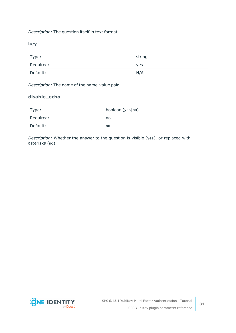*Description:* The question itself in text format.

**key**

| Type:     | string |
|-----------|--------|
| Required: | yes    |
| Default:  | N/A    |

*Description:* The name of the name-value pair.

### **disable\_echo**

| Type:     | boolean (yes no) |
|-----------|------------------|
| Required: | no               |
| Default:  | no               |

*Description:* Whether the answer to the question is visible (yes), or replaced with asterisks (no).

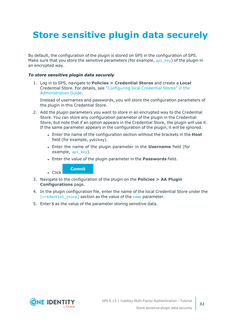# <span id="page-31-0"></span>**Store sensitive plugin data securely**

By default, the configuration of the plugin is stored on SPS in the configuration of SPS. Make sure that you store the sensitive parameters (for example, api key) of the plugin in an encrypted way.

#### *To store sensitive plugin data securely*

1. Log in to SPS, navigate to **Policies > Credential Stores** and create a **Local** Credential Store. For details, see ["Configuring](https://support.oneidentity.com/technical-documents/safeguard-for-privileged-sessions/6.13.1/administration-guide/advanced-authentication-and-authorization-techniques/using-credential-stores-for-server-side-authentication/configuring-local-credential-stores/) local Credential Stores" in the [Administration](https://support.oneidentity.com/technical-documents/safeguard-for-privileged-sessions/6.13.1/administration-guide/advanced-authentication-and-authorization-techniques/using-credential-stores-for-server-side-authentication/configuring-local-credential-stores/) Guide.

Instead of usernames and passwords, you will store the configuration parameters of the plugin in this Credential Store.

- 2. Add the plugin parameters you want to store in an encrypted way to the Credential Store. You can store any configuration parameter of the plugin in the Credential Store, but note that if an option appears in the Credential Store, the plugin will use it. If the same parameter appears in the configuration of the plugin, it will be ignored.
	- <sup>l</sup> Enter the name of the configuration section without the brackets in the **Host** field (for example, yubikey).
	- **.** Enter the name of the plugin parameter in the **Username** field (for example, api key).
	- <sup>l</sup> Enter the value of the plugin parameter in the **Passwords** field.

**Commit** 

 $\blacksquare$  Click

- 3. Navigate to the configuration of the plugin on the **Policies > AA Plugin Configurations** page.
- 4. In the plugin configuration file, enter the name of the local Credential Store under the [\[credential\\_store\]](../../../../../Content/Guides/integrations/shared/plugin-section-cred-store.htm) section as the value of the [name](#scb-plugin-option-cred-store-name) parameter.
- 5. Enter \$ as the value of the parameter storing sensitive data.

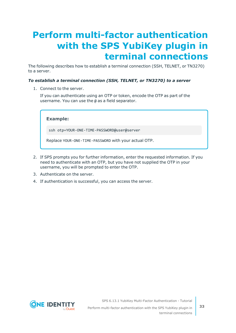# <span id="page-32-0"></span>**Perform multi-factor authentication with the SPS YubiKey plugin in terminal connections**

The following describes how to establish a terminal connection (SSH, TELNET, or TN3270) to a server.

#### *To establish a terminal connection (SSH, TELNET, or TN3270) to a server*

1. Connect to the server.

If you can authenticate using an OTP or token, encode the OTP as part of the username. You can use the @ as a field separator.

**Example:**

ssh otp=YOUR-ONE-TIME-PASSWORD@user@server

Replace YOUR-ONE-TIME-PASSWORD with your actual OTP.

- 2. If SPS prompts you for further information, enter the requested information. If you need to authenticate with an OTP, but you have not supplied the OTP in your username, you will be prompted to enter the OTP.
- 3. Authenticate on the server.
- 4. If authentication is successful, you can access the server.



SPS 6.13.1 YubiKey Multi-Factor Authentication - Tutorial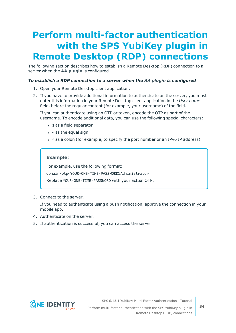# <span id="page-33-0"></span>**Perform multi-factor authentication with the SPS YubiKey plugin in Remote Desktop (RDP) connections**

The following section describes how to establish a Remote Desktop (RDP) connection to a server when the **AA plugin** is configured.

#### *To establish a RDP connection to a server when the AA plugin is configured*

- 1. Open your Remote Desktop client application.
- 2. If you have to provide additional information to authenticate on the server, you must enter this information in your Remote Desktop client application in the *User name* field, before the regular content (for example, your username) of the field.

If you can authenticate using an OTP or token, encode the OTP as part of the username. To encode additional data, you can use the following special characters:

- % as a field separator
- $\bullet$  ~ as the equal sign
- $\cdot$  ^ as a colon (for example, to specify the port number or an IPv6 IP address)

#### **Example:**

For example, use the following format:

domain\otp~YOUR-ONE-TIME-PASSWORD%Administrator

Replace YOUR-ONE-TIME-PASSWORD with your actual OTP.

3. Connect to the server.

If you need to authenticate using a push notification, approve the connection in your mobile app.

- 4. Authenticate on the server.
- 5. If authentication is successful, you can access the server.



SPS 6.13.1 YubiKey Multi-Factor Authentication - Tutorial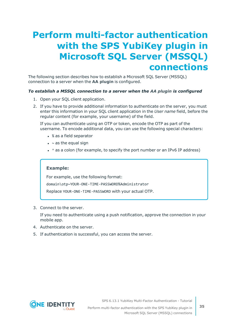# <span id="page-34-0"></span>**Perform multi-factor authentication with the SPS YubiKey plugin in Microsoft SQL Server (MSSQL) connections**

The following section describes how to establish a Microsoft SQL Server (MSSQL) connection to a server when the **AA plugin** is configured.

### *To establish a MSSQL connection to a server when the AA plugin is configured*

- 1. Open your SQL client application.
- 2. If you have to provide additional information to authenticate on the server, you must enter this information in your SQL client application in the *User name* field, before the regular content (for example, your username) of the field.

If you can authenticate using an OTP or token, encode the OTP as part of the username. To encode additional data, you can use the following special characters:

- % as a field separator
- $\bullet$  ~ as the equal sign
- $\cdot$  ^ as a colon (for example, to specify the port number or an IPv6 IP address)

#### **Example:**

For example, use the following format: domain\otp~YOUR-ONE-TIME-PASSWORD%Administrator

Replace YOUR-ONE-TIME-PASSWORD with your actual OTP.

3. Connect to the server.

If you need to authenticate using a push notification, approve the connection in your mobile app.

- 4. Authenticate on the server.
- 5. If authentication is successful, you can access the server.



SPS 6.13.1 YubiKey Multi-Factor Authentication - Tutorial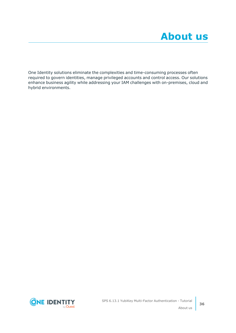<span id="page-35-0"></span>One Identity solutions eliminate the complexities and time-consuming processes often required to govern identities, manage privileged accounts and control access. Our solutions enhance business agility while addressing your IAM challenges with on-premises, cloud and hybrid environments.



**36**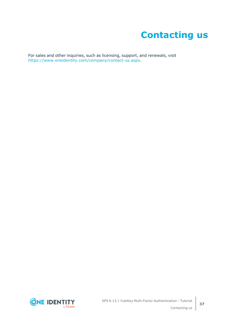# **Contacting us**

<span id="page-36-0"></span>For sales and other inquiries, such as licensing, support, and renewals, visit [https://www.oneidentity.com/company/contact-us.aspx.](https://www.oneidentity.com/company/contact-us.aspx)

**ONE IDENTITY** by **Quest** 

**37**